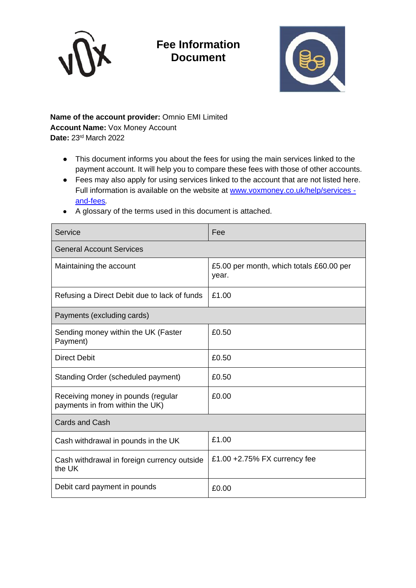

## **Fee Information Document**



## **Name of the account provider:** Omnio EMI Limited **Account Name:** Vox Money Account **Date:** 23rd March 2022

- This document informs you about the fees for using the main services linked to the payment account. It will help you to compare these fees with those of other accounts.
- Fees may also apply for using services linked to the account that are not listed here. Full information is available on the website at [www.voxmoney.co.uk/help/services](http://www.voxmoney.co.uk/help/services%20-and-fees)  [and-fees](http://www.voxmoney.co.uk/help/services%20-and-fees)*.*
- A glossary of the terms used in this document is attached.

| Service                                                               | Fee                                               |  |
|-----------------------------------------------------------------------|---------------------------------------------------|--|
| <b>General Account Services</b>                                       |                                                   |  |
| Maintaining the account                                               | £5.00 per month, which totals £60.00 per<br>year. |  |
| Refusing a Direct Debit due to lack of funds                          | £1.00                                             |  |
| Payments (excluding cards)                                            |                                                   |  |
| Sending money within the UK (Faster<br>Payment)                       | £0.50                                             |  |
| <b>Direct Debit</b>                                                   | £0.50                                             |  |
| Standing Order (scheduled payment)                                    | £0.50                                             |  |
| Receiving money in pounds (regular<br>payments in from within the UK) | £0.00                                             |  |
| <b>Cards and Cash</b>                                                 |                                                   |  |
| Cash withdrawal in pounds in the UK                                   | £1.00                                             |  |
| Cash withdrawal in foreign currency outside<br>the UK                 | £1.00 $+2.75\%$ FX currency fee                   |  |
| Debit card payment in pounds                                          | £0.00                                             |  |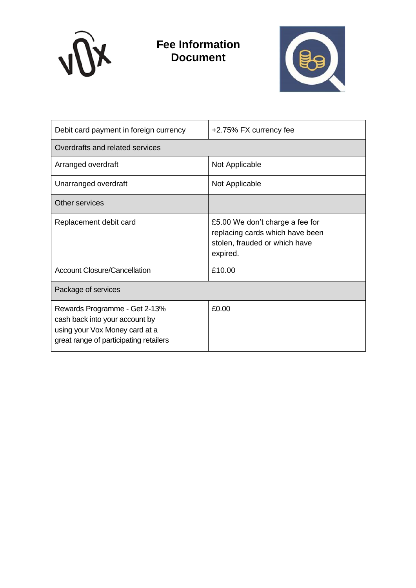

**Fee Information Document**



| Debit card payment in foreign currency                                                                                                      | +2.75% FX currency fee                                                                                          |  |
|---------------------------------------------------------------------------------------------------------------------------------------------|-----------------------------------------------------------------------------------------------------------------|--|
| Overdrafts and related services                                                                                                             |                                                                                                                 |  |
| Arranged overdraft                                                                                                                          | Not Applicable                                                                                                  |  |
| Unarranged overdraft                                                                                                                        | Not Applicable                                                                                                  |  |
| Other services                                                                                                                              |                                                                                                                 |  |
| Replacement debit card                                                                                                                      | £5.00 We don't charge a fee for<br>replacing cards which have been<br>stolen, frauded or which have<br>expired. |  |
| <b>Account Closure/Cancellation</b>                                                                                                         | £10.00                                                                                                          |  |
| Package of services                                                                                                                         |                                                                                                                 |  |
| Rewards Programme - Get 2-13%<br>cash back into your account by<br>using your Vox Money card at a<br>great range of participating retailers | £0.00                                                                                                           |  |